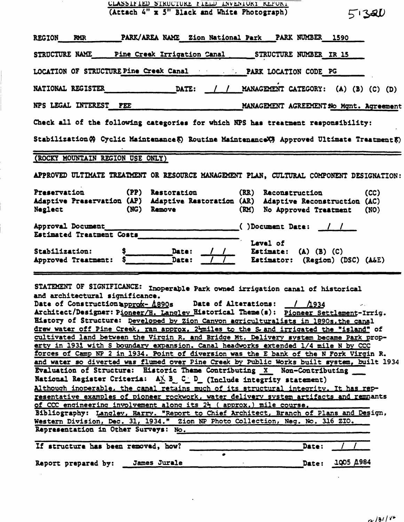| CLASSIFIED STRUCTURE FIELD INVENIORY REPORT                                                                                                                                                                                                                                                                                                                                                                                                                                                                                                                                                                                                                                                                                                                                                                                                                                                                                                                                                                                                                                           |  |  |  |  |  |  |
|---------------------------------------------------------------------------------------------------------------------------------------------------------------------------------------------------------------------------------------------------------------------------------------------------------------------------------------------------------------------------------------------------------------------------------------------------------------------------------------------------------------------------------------------------------------------------------------------------------------------------------------------------------------------------------------------------------------------------------------------------------------------------------------------------------------------------------------------------------------------------------------------------------------------------------------------------------------------------------------------------------------------------------------------------------------------------------------|--|--|--|--|--|--|
| (Attach 4" x 5" Black and White Photograph)<br>51320                                                                                                                                                                                                                                                                                                                                                                                                                                                                                                                                                                                                                                                                                                                                                                                                                                                                                                                                                                                                                                  |  |  |  |  |  |  |
| PARK/AREA NAME Zion National Park PARK NUMBER 1590<br><b>REGION</b><br><b>RMR</b>                                                                                                                                                                                                                                                                                                                                                                                                                                                                                                                                                                                                                                                                                                                                                                                                                                                                                                                                                                                                     |  |  |  |  |  |  |
| STRUCTURE NAME Pine Creek Irrigation Canal STRUCTURE NUMBER IR 15                                                                                                                                                                                                                                                                                                                                                                                                                                                                                                                                                                                                                                                                                                                                                                                                                                                                                                                                                                                                                     |  |  |  |  |  |  |
| LOCATION OF STRUCTURE Pine Creek Canal The PARK LOCATION CODE PG                                                                                                                                                                                                                                                                                                                                                                                                                                                                                                                                                                                                                                                                                                                                                                                                                                                                                                                                                                                                                      |  |  |  |  |  |  |
| DATE: / / MANAGEMENT CATEGORY: (A) (B) (C) (D)<br>NATIONAL REGISTER                                                                                                                                                                                                                                                                                                                                                                                                                                                                                                                                                                                                                                                                                                                                                                                                                                                                                                                                                                                                                   |  |  |  |  |  |  |
| NPS LEGAL INTEREST FEE<br>MANAGEMENT AGREEMENT No Mgnt. Agreement                                                                                                                                                                                                                                                                                                                                                                                                                                                                                                                                                                                                                                                                                                                                                                                                                                                                                                                                                                                                                     |  |  |  |  |  |  |
| Check all of the following categories for which NPS has treatment responsibility:                                                                                                                                                                                                                                                                                                                                                                                                                                                                                                                                                                                                                                                                                                                                                                                                                                                                                                                                                                                                     |  |  |  |  |  |  |
| Stabilization (?) Cyclic Maintenance (?) Routine Maintenance (?) Approved Ultimate Treatment (?)                                                                                                                                                                                                                                                                                                                                                                                                                                                                                                                                                                                                                                                                                                                                                                                                                                                                                                                                                                                      |  |  |  |  |  |  |
| (ROCKY MOUNTAIN REGION USE ONLY)                                                                                                                                                                                                                                                                                                                                                                                                                                                                                                                                                                                                                                                                                                                                                                                                                                                                                                                                                                                                                                                      |  |  |  |  |  |  |
| APPROVED ULTIMATE TREATMENT OR RESOURCE MANAGEMENT PLAN, CULTURAL COMPONENT DESIGNATION:                                                                                                                                                                                                                                                                                                                                                                                                                                                                                                                                                                                                                                                                                                                                                                                                                                                                                                                                                                                              |  |  |  |  |  |  |
| (PP)<br>Preservation<br>Restoration<br>(RR)<br>Reconstruction<br>(CC)<br>Adaptive Preservation (AP) Adaptive Restoration (AR) Adaptive Reconstruction (AC)<br>Neglect<br>(NG)<br>Remove<br>No Approved Treatment<br>(RM)<br>(NO)                                                                                                                                                                                                                                                                                                                                                                                                                                                                                                                                                                                                                                                                                                                                                                                                                                                      |  |  |  |  |  |  |
| Approval Document<br>$( )$ Document Date:                                                                                                                                                                                                                                                                                                                                                                                                                                                                                                                                                                                                                                                                                                                                                                                                                                                                                                                                                                                                                                             |  |  |  |  |  |  |
| Estimated Treatment Costs<br>Level of<br>Stabilization:<br>Date:<br>Estimate: $(A)$ $(B)$ $(C)$<br>Date:<br>Approved Treatment:<br>Estimator: (Region) (DSC) (A&E)                                                                                                                                                                                                                                                                                                                                                                                                                                                                                                                                                                                                                                                                                                                                                                                                                                                                                                                    |  |  |  |  |  |  |
| STATEMENT OF SIGNIFICANCE: Inoperable Park owned irrigation canal of historical<br>and architectural significance.<br>Date of Construction approx- A890s Date of Alterations: / A934<br>Architect/Designer: Pioneer/H. Langley Eistorical Theme(s): Pioneer Settlement-Irrig.<br>History of Structure: Developed by Zion Canyon agriculturalists in 1890s, the canal<br>drew water off Pine Creek, ran approx. 2 miles to the S and irrigated the "island" of<br>cultivated land between the Virgin R. and Bridge Mt. Delivery system became Park prop-<br>erty in 1931 with S boundary expansion. Canal headworks extended 1/4 mile N by CCC<br>forces of Camp NP 2 in 1934. Point of diversion was the E bank of the N Fork Virgin R.<br>and water so diverted was flumed over Pine Creek by Public Works built system, built 1934<br>Evaluation of Structure: Historic Theme Contributing X Non-Contributing<br>National Register Criteria: $A \times B$ C D (Include integrity statement)<br>Although inoperable, the canal retains much of its structural integrity. It has rep- |  |  |  |  |  |  |
|                                                                                                                                                                                                                                                                                                                                                                                                                                                                                                                                                                                                                                                                                                                                                                                                                                                                                                                                                                                                                                                                                       |  |  |  |  |  |  |

resentative examples of pioneer rockvork. water delivery system artifacts and remnants of CCC engineering involvement along its 2} ( approx.) mile course. Bibliography: Lanqlev, Harry. "Report to Chief Architect, Branch of Plans and Design, Western Division, Dec. 31, 1934." Zion NP Photo Collection, Neg. No. 316 ZIP,

Representation in Other Surveys: No.

| If structure has been removed, how? |              | Date: |           |
|-------------------------------------|--------------|-------|-----------|
|                                     |              |       |           |
| Report prepared by:                 | James Jurale | Date: | 1005 A984 |